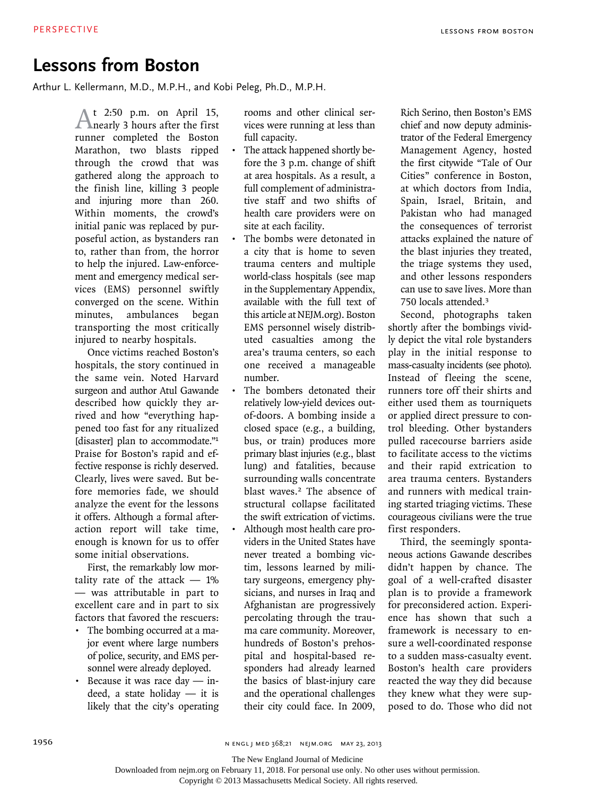## **Lessons from Boston**

Arthur L. Kellermann, M.D., M.P.H., and Kobi Peleg, Ph.D., M.P.H.

At 2:50 p.m. on April 15, nearly 3 hours after the first runner completed the Boston Marathon, two blasts ripped through the crowd that was gathered along the approach to the finish line, killing 3 people and injuring more than 260. Within moments, the crowd's initial panic was replaced by purposeful action, as bystanders ran to, rather than from, the horror to help the injured. Law-enforcement and emergency medical services (EMS) personnel swiftly converged on the scene. Within minutes, ambulances began transporting the most critically injured to nearby hospitals.

Once victims reached Boston's hospitals, the story continued in the same vein. Noted Harvard surgeon and author Atul Gawande described how quickly they arrived and how "everything happened too fast for any ritualized [disaster] plan to accommodate."<sup>1</sup> Praise for Boston's rapid and effective response is richly deserved. Clearly, lives were saved. But before memories fade, we should analyze the event for the lessons it offers. Although a formal afteraction report will take time, enough is known for us to offer some initial observations.

First, the remarkably low mortality rate of the attack  $-1\%$ — was attributable in part to excellent care and in part to six factors that favored the rescuers:

- The bombing occurred at a major event where large numbers of police, security, and EMS personnel were already deployed.
- • Because it was race day indeed, a state holiday — it is likely that the city's operating

rooms and other clinical services were running at less than full capacity.

- The attack happened shortly before the 3 p.m. change of shift at area hospitals. As a result, a full complement of administrative staff and two shifts of health care providers were on site at each facility.
- The bombs were detonated in a city that is home to seven trauma centers and multiple world-class hospitals (see map in the Supplementary Appendix, available with the full text of this article at NEJM.org). Boston EMS personnel wisely distributed casualties among the area's trauma centers, so each one received a manageable number.
- The bombers detonated their relatively low-yield devices outof-doors. A bombing inside a closed space (e.g., a building, bus, or train) produces more primary blast injuries (e.g., blast lung) and fatalities, because surrounding walls concentrate blast waves.<sup>2</sup> The absence of structural collapse facilitated the swift extrication of victims.
- Although most health care providers in the United States have never treated a bombing victim, lessons learned by military surgeons, emergency physicians, and nurses in Iraq and Afghanistan are progressively percolating through the trauma care community. Moreover, hundreds of Boston's prehospital and hospital-based responders had already learned the basics of blast-injury care and the operational challenges their city could face. In 2009,

Rich Serino, then Boston's EMS chief and now deputy administrator of the Federal Emergency Management Agency, hosted the first citywide "Tale of Our Cities" conference in Boston, at which doctors from India, Spain, Israel, Britain, and Pakistan who had managed the consequences of terrorist attacks explained the nature of the blast injuries they treated, the triage systems they used, and other lessons responders can use to save lives. More than 750 locals attended.<sup>3</sup>

Second, photographs taken shortly after the bombings vividly depict the vital role bystanders play in the initial response to mass-casualty incidents (see photo). Instead of fleeing the scene, runners tore off their shirts and either used them as tourniquets or applied direct pressure to control bleeding. Other bystanders pulled racecourse barriers aside to facilitate access to the victims and their rapid extrication to area trauma centers. Bystanders and runners with medical training started triaging victims. These courageous civilians were the true first responders.

Third, the seemingly spontaneous actions Gawande describes didn't happen by chance. The goal of a well-crafted disaster plan is to provide a framework for preconsidered action. Experience has shown that such a framework is necessary to ensure a well-coordinated response to a sudden mass-casualty event. Boston's health care providers reacted the way they did because they knew what they were supposed to do. Those who did not

1956 1956 n engl j med 368;21 n elm.org may 23, 2013

The New England Journal of Medicine

Downloaded from nejm.org on February 11, 2018. For personal use only. No other uses without permission.

Copyright © 2013 Massachusetts Medical Society. All rights reserved.